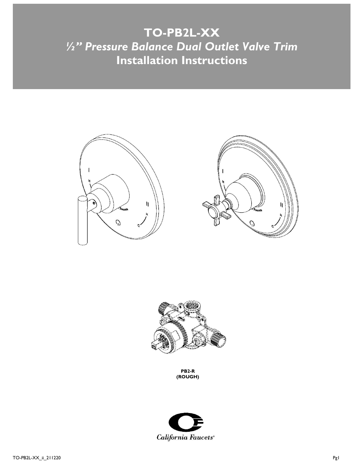# **TO-PB2L-XX** *½" Pressure Balance Dual Outlet Valve Trim* **Installation Instructions**







**PB2-R (ROUGH)**

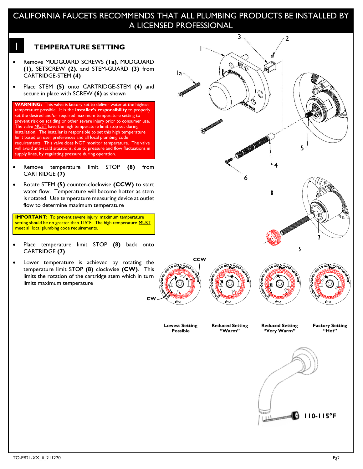# CALIFORNIA FAUCETS RECOMMENDS THAT ALL PLUMBING PRODUCTS BE INSTALLED BY A LICENSED PROFESSIONAL

## 1 **TEMPERATURE SETTING**

- Remove MUDGUARD SCREWS **(1a)**, MUDGUARD **(1),** SETSCREW **(2)**, and STEM-GUARD **(3)** from CARTRIDGE-STEM **(4)**
- Place STEM **(5)** onto CARTRIDGE-STEM **(4)** and secure in place with SCREW **(6)** as shown



- Remove temperature limit STOP **(8)** from CARTRIDGE **(7)**
- Rotate STEM **(5)** counter-clockwise **(CCW)** to start water flow. Temperature will become hotter as stem is rotated. Use temperature measuring device at outlet flow to determine maximum temperature

L **IMPORTANT:** To prevent severe injury, maximum temperature setting should be no greater than 115°F. The high temperature MUST meet all local plumbing code requirements.

- Place temperature limit STOP **(8)** back onto CARTRIDGE **(7)**
- Lower temperature is achieved by rotating the temperature limit STOP **(8)** clockwise **(CW)**. This limits the rotation of the cartridge stem which in turn limits maximum temperature

**CW**

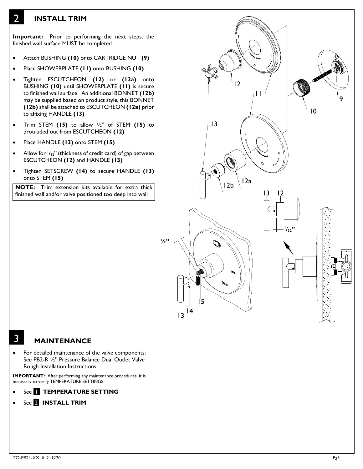#### 2 **INSTALL TRIM**

2 **Important:** Prior to performing the next steps, the finished wall surface MUST be completed

- Attach BUSHING **(10)** onto CARTRIDGE NUT **(9)**
- Place SHOWERPLATE **(11)** onto BUSHING **(10)**
- Tighten ESCUTCHEON **(12)** or **(12a)** onto BUSHING **(10)** until SHOWERPLATE **(11)** is secure to finished wall surface. An additional BONNET **(12b)** may be supplied based on product style, this BONNET **(12b)** shall be attached to ESCUTCHEON **(12a)** prior to affixing HANDLE **(13)**
- Trim STEM **(15)** to allow ½" of STEM **(15)** to protruded out from ESCUTCHEON **(12)**
- Place HANDLE **(13)** onto STEM **(15)**
- Allow for  $1/32$ " (thickness of credit card) of gap between ESCUTCHEON **(12)** and HANDLE **(13)**
- Tighten SETSCREW **(14)** to secure HANDLE **(13)**  onto STEM **(15)**

**NOTE:** Trim extension kits available for extra thick finished wall and/or valve positioned too deep into wall



#### 3 **MAINTENANCE**

For detailed maintenance of the valve components: See PB2-R 1/2" Pressure Balance Dual Outlet Valve Rough Installation Instructions

**IMPORTANT:** After performing any maintenance procedures, it is necessary to verify TEMPERATURE SETTINGS

- **See <b>T** TEMPERATURE SETTING
- See 2 **INSTALL TRIM**